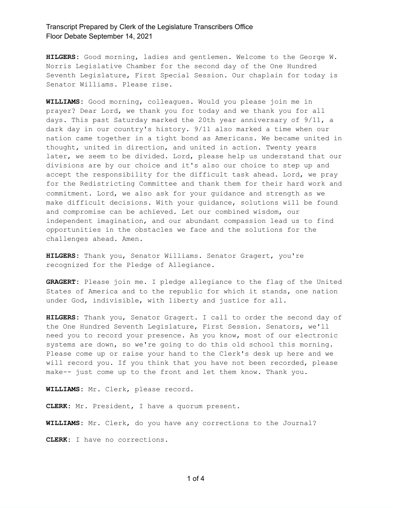**HILGERS:** Good morning, ladies and gentlemen. Welcome to the George W. Norris Legislative Chamber for the second day of the One Hundred Seventh Legislature, First Special Session. Our chaplain for today is Senator Williams. Please rise.

**WILLIAMS:** Good morning, colleagues. Would you please join me in prayer? Dear Lord, we thank you for today and we thank you for all days. This past Saturday marked the 20th year anniversary of 9/11, a dark day in our country's history. 9/11 also marked a time when our nation came together in a tight bond as Americans. We became united in thought, united in direction, and united in action. Twenty years later, we seem to be divided. Lord, please help us understand that our divisions are by our choice and it's also our choice to step up and accept the responsibility for the difficult task ahead. Lord, we pray for the Redistricting Committee and thank them for their hard work and commitment. Lord, we also ask for your guidance and strength as we make difficult decisions. With your guidance, solutions will be found and compromise can be achieved. Let our combined wisdom, our independent imagination, and our abundant compassion lead us to find opportunities in the obstacles we face and the solutions for the challenges ahead. Amen.

**HILGERS:** Thank you, Senator Williams. Senator Gragert, you're recognized for the Pledge of Allegiance.

**GRAGERT:** Please join me. I pledge allegiance to the flag of the United States of America and to the republic for which it stands, one nation under God, indivisible, with liberty and justice for all.

**HILGERS:** Thank you, Senator Gragert. I call to order the second day of the One Hundred Seventh Legislature, First Session. Senators, we'll need you to record your presence. As you know, most of our electronic systems are down, so we're going to do this old school this morning. Please come up or raise your hand to the Clerk's desk up here and we will record you. If you think that you have not been recorded, please make-- just come up to the front and let them know. Thank you.

**WILLIAMS:** Mr. Clerk, please record.

**CLERK:** Mr. President, I have a quorum present.

**WILLIAMS:** Mr. Clerk, do you have any corrections to the Journal? **CLERK:** I have no corrections.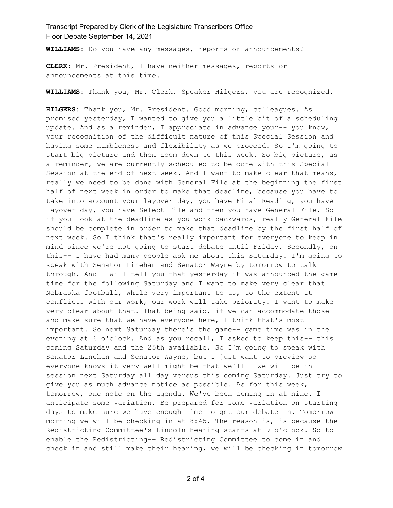**WILLIAMS:** Do you have any messages, reports or announcements?

**CLERK:** Mr. President, I have neither messages, reports or announcements at this time.

**WILLIAMS:** Thank you, Mr. Clerk. Speaker Hilgers, you are recognized.

**HILGERS:** Thank you, Mr. President. Good morning, colleagues. As promised yesterday, I wanted to give you a little bit of a scheduling update. And as a reminder, I appreciate in advance your-- you know, your recognition of the difficult nature of this Special Session and having some nimbleness and flexibility as we proceed. So I'm going to start big picture and then zoom down to this week. So big picture, as a reminder, we are currently scheduled to be done with this Special Session at the end of next week. And I want to make clear that means, really we need to be done with General File at the beginning the first half of next week in order to make that deadline, because you have to take into account your layover day, you have Final Reading, you have layover day, you have Select File and then you have General File. So if you look at the deadline as you work backwards, really General File should be complete in order to make that deadline by the first half of next week. So I think that's really important for everyone to keep in mind since we're not going to start debate until Friday. Secondly, on this-- I have had many people ask me about this Saturday. I'm going to speak with Senator Linehan and Senator Wayne by tomorrow to talk through. And I will tell you that yesterday it was announced the game time for the following Saturday and I want to make very clear that Nebraska football, while very important to us, to the extent it conflicts with our work, our work will take priority. I want to make very clear about that. That being said, if we can accommodate those and make sure that we have everyone here, I think that's most important. So next Saturday there's the game-- game time was in the evening at 6 o'clock. And as you recall, I asked to keep this-- this coming Saturday and the 25th available. So I'm going to speak with Senator Linehan and Senator Wayne, but I just want to preview so everyone knows it very well might be that we'll-- we will be in session next Saturday all day versus this coming Saturday. Just try to give you as much advance notice as possible. As for this week, tomorrow, one note on the agenda. We've been coming in at nine. I anticipate some variation. Be prepared for some variation on starting days to make sure we have enough time to get our debate in. Tomorrow morning we will be checking in at 8:45. The reason is, is because the Redistricting Committee's Lincoln hearing starts at 9 o'clock. So to enable the Redistricting-- Redistricting Committee to come in and check in and still make their hearing, we will be checking in tomorrow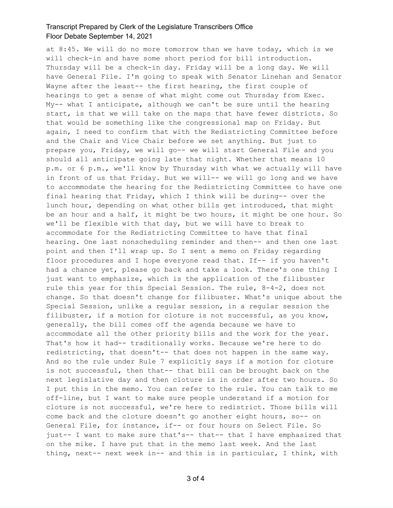at 8:45. We will do no more tomorrow than we have today, which is we will check-in and have some short period for bill introduction. Thursday will be a check-in day. Friday will be a long day. We will have General File. I'm going to speak with Senator Linehan and Senator Wayne after the least-- the first hearing, the first couple of hearings to get a sense of what might come out Thursday from Exec. My-- what I anticipate, although we can't be sure until the hearing start, is that we will take on the maps that have fewer districts. So that would be something like the congressional map on Friday. But again, I need to confirm that with the Redistricting Committee before and the Chair and Vice Chair before we set anything. But just to prepare you, Friday, we will go-- we will start General File and you should all anticipate going late that night. Whether that means 10 p.m. or 6 p.m., we'll know by Thursday with what we actually will have in front of us that Friday. But we will-- we will go long and we have to accommodate the hearing for the Redistricting Committee to have one final hearing that Friday, which I think will be during-- over the lunch hour, depending on what other bills get introduced, that might be an hour and a half, it might be two hours, it might be one hour. So we'll be flexible with that day, but we will have to break to accommodate for the Redistricting Committee to have that final hearing. One last nonscheduling reminder and then-- and then one last point and then I'll wrap up. So I sent a memo on Friday regarding floor procedures and I hope everyone read that. If-- if you haven't had a chance yet, please go back and take a look. There's one thing I just want to emphasize, which is the application of the filibuster rule this year for this Special Session. The rule, 8-4-2, does not change. So that doesn't change for filibuster. What's unique about the Special Session, unlike a regular session, in a regular session the filibuster, if a motion for cloture is not successful, as you know, generally, the bill comes off the agenda because we have to accommodate all the other priority bills and the work for the year. That's how it had-- traditionally works. Because we're here to do redistricting, that doesn't-- that does not happen in the same way. And so the rule under Rule 7 explicitly says if a motion for cloture is not successful, then that-- that bill can be brought back on the next legislative day and then cloture is in order after two hours. So I put this in the memo. You can refer to the rule. You can talk to me off-line, but I want to make sure people understand if a motion for cloture is not successful, we're here to redistrict. Those bills will come back and the cloture doesn't go another eight hours, so-- on General File, for instance, if-- or four hours on Select File. So just-- I want to make sure that's-- that-- that I have emphasized that on the mike. I have put that in the memo last week. And the last thing, next-- next week in-- and this is in particular, I think, with